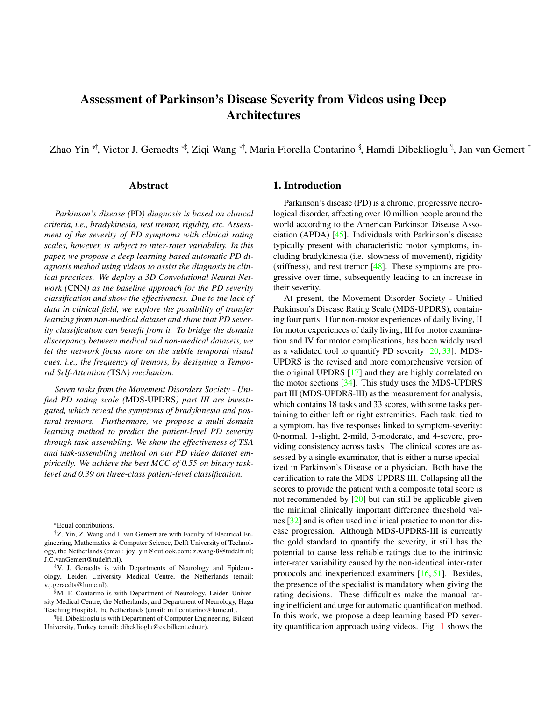# <span id="page-0-0"></span>Assessment of Parkinson's Disease Severity from Videos using Deep Architectures

Zhao Yin \*†, Victor J. Geraedts \*‡, Ziqi Wang \*†, Maria Fiorella Contarino <sup>§</sup>, Hamdi Dibeklioglu <sup>¶</sup>, Jan van Gemert †

## Abstract

*Parkinson's disease (*PD*) diagnosis is based on clinical criteria, i.e., bradykinesia, rest tremor, rigidity, etc. Assessment of the severity of PD symptoms with clinical rating scales, however, is subject to inter-rater variability. In this paper, we propose a deep learning based automatic PD diagnosis method using videos to assist the diagnosis in clinical practices. We deploy a 3D Convolutional Neural Network (*CNN*) as the baseline approach for the PD severity classification and show the effectiveness. Due to the lack of data in clinical field, we explore the possibility of transfer learning from non-medical dataset and show that PD severity classification can benefit from it. To bridge the domain discrepancy between medical and non-medical datasets, we let the network focus more on the subtle temporal visual cues, i.e., the frequency of tremors, by designing a Temporal Self-Attention (*TSA*) mechanism.*

*Seven tasks from the Movement Disorders Society - Unified PD rating scale (*MDS-UPDRS*) part III are investigated, which reveal the symptoms of bradykinesia and postural tremors. Furthermore, we propose a multi-domain learning method to predict the patient-level PD severity through task-assembling. We show the effectiveness of TSA and task-assembling method on our PD video dataset empirically. We achieve the best MCC of 0.55 on binary tasklevel and 0.39 on three-class patient-level classification.*

## 1. Introduction

Parkinson's disease (PD) is a chronic, progressive neurological disorder, affecting over 10 million people around the world according to the American Parkinson Disease Association (APDA) [\[45\]](#page-15-0). Individuals with Parkinson's disease typically present with characteristic motor symptoms, including bradykinesia (i.e. slowness of movement), rigidity (stiffness), and rest tremor [\[48\]](#page-15-1). These symptoms are progressive over time, subsequently leading to an increase in their severity.

At present, the Movement Disorder Society - Unified Parkinson's Disease Rating Scale (MDS-UPDRS), containing four parts: I for non-motor experiences of daily living, II for motor experiences of daily living, III for motor examination and IV for motor complications, has been widely used as a validated tool to quantify PD severity [\[20,](#page-14-0) [33\]](#page-14-1). MDS-UPDRS is the revised and more comprehensive version of the original UPDRS [\[17\]](#page-14-2) and they are highly correlated on the motor sections [\[34\]](#page-14-3). This study uses the MDS-UPDRS part III (MDS-UPDRS-III) as the measurement for analysis, which contains 18 tasks and 33 scores, with some tasks pertaining to either left or right extremities. Each task, tied to a symptom, has five responses linked to symptom-severity: 0-normal, 1-slight, 2-mild, 3-moderate, and 4-severe, providing consistency across tasks. The clinical scores are assessed by a single examinator, that is either a nurse specialized in Parkinson's Disease or a physician. Both have the certification to rate the MDS-UPDRS III. Collapsing all the scores to provide the patient with a composite total score is not recommended by  $[20]$  but can still be applicable given the minimal clinically important difference threshold values [\[32\]](#page-14-4) and is often used in clinical practice to monitor disease progression. Although MDS-UPDRS-III is currently the gold standard to quantify the severity, it still has the potential to cause less reliable ratings due to the intrinsic inter-rater variability caused by the non-identical inter-rater protocols and inexperienced examiners [\[16,](#page-14-5) [51\]](#page-15-2). Besides, the presence of the specialist is mandatory when giving the rating decisions. These difficulties make the manual rating inefficient and urge for automatic quantification method. In this work, we propose a deep learning based PD severity quantification approach using videos. Fig. [1](#page-1-0) shows the

<sup>\*</sup>Equal contributions.

<sup>†</sup>Z. Yin, Z. Wang and J. van Gemert are with Faculty of Electrical Engineering, Mathematics & Computer Science, Delft University of Technology, the Netherlands (email: joy\_yin@outlook.com; z.wang-8@tudelft.nl; J.C.vanGemert@tudelft.nl).

<sup>‡</sup>V. J. Geraedts is with Departments of Neurology and Epidemiology, Leiden University Medical Centre, the Netherlands (email: v.j.geraedts@lumc.nl).

<sup>§</sup>M. F. Contarino is with Department of Neurology, Leiden University Medical Centre, the Netherlands, and Department of Neurology, Haga Teaching Hospital, the Netherlands (email: m.f.contarino@lumc.nl).

<sup>¶</sup>H. Dibeklioglu is with Department of Computer Engineering, Bilkent University, Turkey (email: dibeklioglu@cs.bilkent.edu.tr).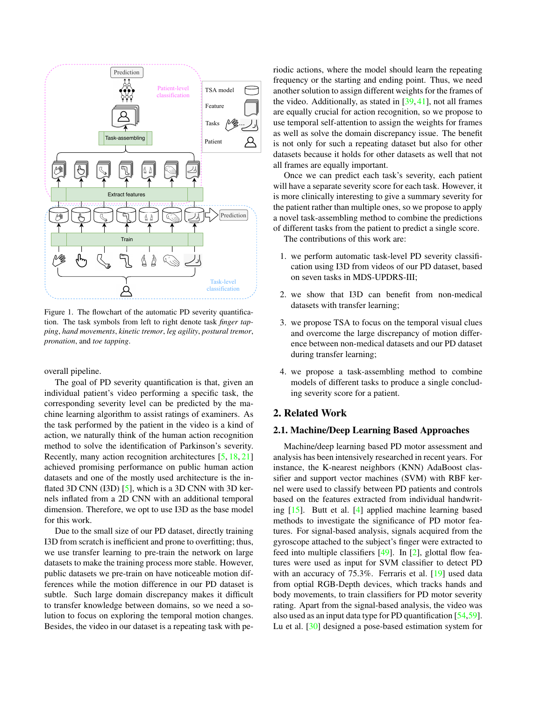<span id="page-1-1"></span><span id="page-1-0"></span>

Figure 1. The flowchart of the automatic PD severity quantification. The task symbols from left to right denote task *finger tapping*, *hand movements*, *kinetic tremor*, *leg agility*, *postural tremor*, *pronation*, and *toe tapping*.

overall pipeline.

The goal of PD severity quantification is that, given an individual patient's video performing a specific task, the corresponding severity level can be predicted by the machine learning algorithm to assist ratings of examiners. As the task performed by the patient in the video is a kind of action, we naturally think of the human action recognition method to solve the identification of Parkinson's severity. Recently, many action recognition architectures [\[5,](#page-13-0) [18,](#page-14-6) [21\]](#page-14-7) achieved promising performance on public human action datasets and one of the mostly used architecture is the in-flated 3D CNN (I3D) [\[5\]](#page-13-0), which is a 3D CNN with 3D kernels inflated from a 2D CNN with an additional temporal dimension. Therefore, we opt to use I3D as the base model for this work.

Due to the small size of our PD dataset, directly training I3D from scratch is inefficient and prone to overfitting; thus, we use transfer learning to pre-train the network on large datasets to make the training process more stable. However, public datasets we pre-train on have noticeable motion differences while the motion difference in our PD dataset is subtle. Such large domain discrepancy makes it difficult to transfer knowledge between domains, so we need a solution to focus on exploring the temporal motion changes. Besides, the video in our dataset is a repeating task with periodic actions, where the model should learn the repeating frequency or the starting and ending point. Thus, we need another solution to assign different weights for the frames of the video. Additionally, as stated in  $[39, 41]$  $[39, 41]$  $[39, 41]$ , not all frames are equally crucial for action recognition, so we propose to use temporal self-attention to assign the weights for frames as well as solve the domain discrepancy issue. The benefit is not only for such a repeating dataset but also for other datasets because it holds for other datasets as well that not all frames are equally important.

Once we can predict each task's severity, each patient will have a separate severity score for each task. However, it is more clinically interesting to give a summary severity for the patient rather than multiple ones, so we propose to apply a novel task-assembling method to combine the predictions of different tasks from the patient to predict a single score.

The contributions of this work are:

- 1. we perform automatic task-level PD severity classification using I3D from videos of our PD dataset, based on seven tasks in MDS-UPDRS-III;
- 2. we show that I3D can benefit from non-medical datasets with transfer learning;
- 3. we propose TSA to focus on the temporal visual clues and overcome the large discrepancy of motion difference between non-medical datasets and our PD dataset during transfer learning;
- 4. we propose a task-assembling method to combine models of different tasks to produce a single concluding severity score for a patient.

# 2. Related Work

## 2.1. Machine/Deep Learning Based Approaches

Machine/deep learning based PD motor assessment and analysis has been intensively researched in recent years. For instance, the K-nearest neighbors (KNN) AdaBoost classifier and support vector machines (SVM) with RBF kernel were used to classify between PD patients and controls based on the features extracted from individual handwriting [\[15\]](#page-14-8). Butt et al. [\[4\]](#page-13-1) applied machine learning based methods to investigate the significance of PD motor features. For signal-based analysis, signals acquired from the gyroscope attached to the subject's finger were extracted to feed into multiple classifiers  $[49]$ . In  $[2]$ , glottal flow features were used as input for SVM classifier to detect PD with an accuracy of 75.3%. Ferraris et al. [\[19\]](#page-14-9) used data from optial RGB-Depth devices, which tracks hands and body movements, to train classifiers for PD motor severity rating. Apart from the signal-based analysis, the video was also used as an input data type for PD quantification [\[54,](#page-15-6)[59\]](#page-15-7). Lu et al. [\[30\]](#page-14-10) designed a pose-based estimation system for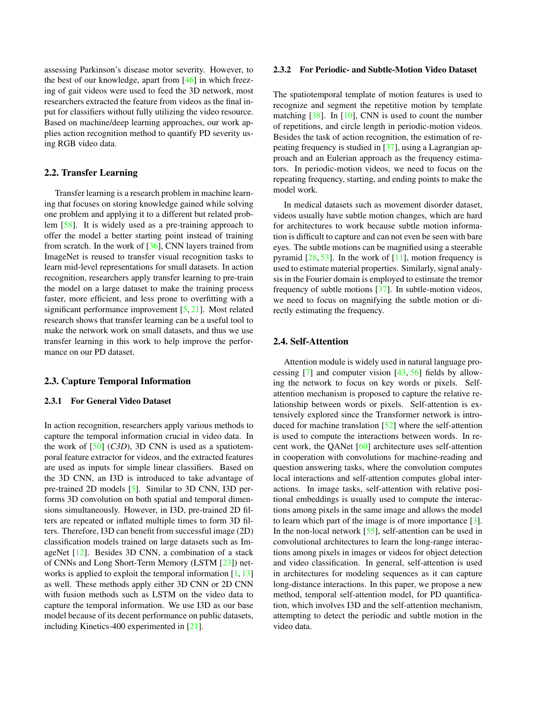<span id="page-2-0"></span>assessing Parkinson's disease motor severity. However, to the best of our knowledge, apart from [\[46\]](#page-15-8) in which freezing of gait videos were used to feed the 3D network, most researchers extracted the feature from videos as the final input for classifiers without fully utilizing the video resource. Based on machine/deep learning approaches, our work applies action recognition method to quantify PD severity using RGB video data.

## 2.2. Transfer Learning

Transfer learning is a research problem in machine learning that focuses on storing knowledge gained while solving one problem and applying it to a different but related problem [\[58\]](#page-15-9). It is widely used as a pre-training approach to offer the model a better starting point instead of training from scratch. In the work of [\[36\]](#page-14-11), CNN layers trained from ImageNet is reused to transfer visual recognition tasks to learn mid-level representations for small datasets. In action recognition, researchers apply transfer learning to pre-train the model on a large dataset to make the training process faster, more efficient, and less prone to overfitting with a significant performance improvement [\[5,](#page-13-0) [21\]](#page-14-7). Most related research shows that transfer learning can be a useful tool to make the network work on small datasets, and thus we use transfer learning in this work to help improve the performance on our PD dataset.

## 2.3. Capture Temporal Information

## 2.3.1 For General Video Dataset

In action recognition, researchers apply various methods to capture the temporal information crucial in video data. In the work of [\[50\]](#page-15-10) (*C3D*), 3D CNN is used as a spatiotemporal feature extractor for videos, and the extracted features are used as inputs for simple linear classifiers. Based on the 3D CNN, an I3D is introduced to take advantage of pre-trained 2D models [\[5\]](#page-13-0). Similar to 3D CNN, I3D performs 3D convolution on both spatial and temporal dimensions simultaneously. However, in I3D, pre-trained 2D filters are repeated or inflated multiple times to form 3D filters. Therefore, I3D can benefit from successful image (2D) classification models trained on large datasets such as ImageNet [\[12\]](#page-13-3). Besides 3D CNN, a combination of a stack of CNNs and Long Short-Term Memory (LSTM [\[23\]](#page-14-12)) networks is applied to exploit the temporal information  $[1, 13]$  $[1, 13]$  $[1, 13]$ as well. These methods apply either 3D CNN or 2D CNN with fusion methods such as LSTM on the video data to capture the temporal information. We use I3D as our base model because of its decent performance on public datasets, including Kinetics-400 experimented in [\[21\]](#page-14-7).

#### 2.3.2 For Periodic- and Subtle-Motion Video Dataset

The spatiotemporal template of motion features is used to recognize and segment the repetitive motion by template matching  $[38]$ . In  $[10]$ , CNN is used to count the number of repetitions, and circle length in periodic-motion videos. Besides the task of action recognition, the estimation of repeating frequency is studied in [\[37\]](#page-14-14), using a Lagrangian approach and an Eulerian approach as the frequency estimators. In periodic-motion videos, we need to focus on the repeating frequency, starting, and ending points to make the model work.

In medical datasets such as movement disorder dataset, videos usually have subtle motion changes, which are hard for architectures to work because subtle motion information is difficult to capture and can not even be seen with bare eyes. The subtle motions can be magnified using a steerable pyramid  $[28, 53]$  $[28, 53]$  $[28, 53]$ . In the work of  $[11]$ , motion frequency is used to estimate material properties. Similarly, signal analysis in the Fourier domain is employed to estimate the tremor frequency of subtle motions [\[37\]](#page-14-14). In subtle-motion videos, we need to focus on magnifying the subtle motion or directly estimating the frequency.

## 2.4. Self-Attention

Attention module is widely used in natural language processing  $[7]$  and computer vision  $[43, 56]$  $[43, 56]$  $[43, 56]$  fields by allowing the network to focus on key words or pixels. Selfattention mechanism is proposed to capture the relative relationship between words or pixels. Self-attention is extensively explored since the Transformer network is introduced for machine translation [\[52\]](#page-15-14) where the self-attention is used to compute the interactions between words. In recent work, the QANet [\[60\]](#page-15-15) architecture uses self-attention in cooperation with convolutions for machine-reading and question answering tasks, where the convolution computes local interactions and self-attention computes global interactions. In image tasks, self-attention with relative positional embeddings is usually used to compute the interactions among pixels in the same image and allows the model to learn which part of the image is of more importance [\[3\]](#page-13-9). In the non-local network [\[55\]](#page-15-16), self-attention can be used in convolutional architectures to learn the long-range interactions among pixels in images or videos for object detection and video classification. In general, self-attention is used in architectures for modeling sequences as it can capture long-distance interactions. In this paper, we propose a new method, temporal self-attention model, for PD quantification, which involves I3D and the self-attention mechanism, attempting to detect the periodic and subtle motion in the video data.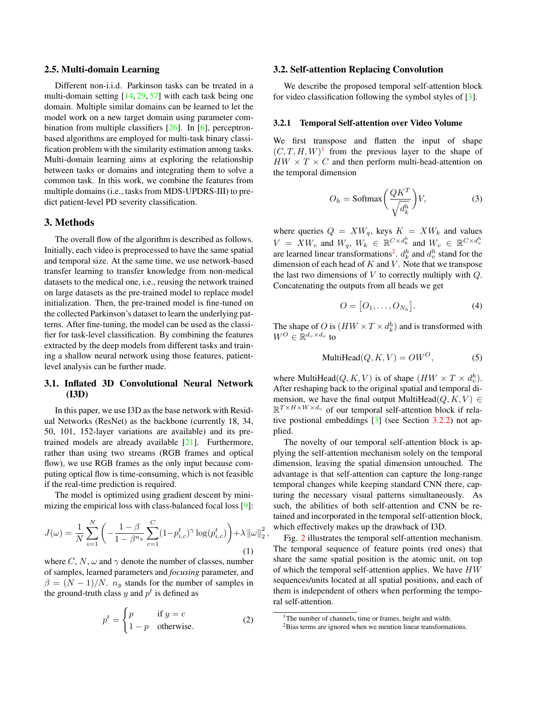#### <span id="page-3-4"></span>2.5. Multi-domain Learning

Different non-i.i.d. Parkinson tasks can be treated in a multi-domain setting [\[14,](#page-14-16) [29,](#page-14-17) [57\]](#page-15-17) with each task being one domain. Multiple similar domains can be learned to let the model work on a new target domain using parameter com-bination from multiple classifiers [\[26\]](#page-14-18). In [\[6\]](#page-13-10), perceptronbased algorithms are employed for multi-task binary classification problem with the similarity estimation among tasks. Multi-domain learning aims at exploring the relationship between tasks or domains and integrating them to solve a common task. In this work, we combine the features from multiple domains (i.e., tasks from MDS-UPDRS-III) to predict patient-level PD severity classification.

#### 3. Methods

The overall flow of the algorithm is described as follows. Initially, each video is preprocessed to have the same spatial and temporal size. At the same time, we use network-based transfer learning to transfer knowledge from non-medical datasets to the medical one, i.e., reusing the network trained on large datasets as the pre-trained model to replace model initialization. Then, the pre-trained model is fine-tuned on the collected Parkinson's dataset to learn the underlying patterns. After fine-tuning, the model can be used as the classifier for task-level classification. By combining the features extracted by the deep models from different tasks and training a shallow neural network using those features, patientlevel analysis can be further made.

# 3.1. Inflated 3D Convolutional Neural Network (I3D)

In this paper, we use I3D as the base network with Residual Networks (ResNet) as the backbone (currently 18, 34, 50, 101, 152-layer variations are available) and its pretrained models are already available [\[21\]](#page-14-7). Furthermore, rather than using two streams (RGB frames and optical flow), we use RGB frames as the only input because computing optical flow is time-consuming, which is not feasible if the real-time prediction is required.

The model is optimized using gradient descent by minimizing the empirical loss with class-balanced focal loss [\[9\]](#page-13-11):

<span id="page-3-3"></span>
$$
J(\omega) = \frac{1}{N} \sum_{i=1}^{N} \left( -\frac{1-\beta}{1-\beta^{n_y}} \sum_{c=1}^{C} (1-p_{i,c}^t)^{\gamma} \log(p_{i,c}^t) \right) + \lambda \|\omega\|_2^2,
$$
\n(1)

where C, N,  $\omega$  and  $\gamma$  denote the number of classes, number of samples, learned parameters and *focusing* parameter, and  $\beta = (N-1)/N$ .  $n_y$  stands for the number of samples in the ground-truth class  $y$  and  $p^t$  is defined as

$$
p^{t} = \begin{cases} p & \text{if } y = c \\ 1 - p & \text{otherwise.} \end{cases}
$$
 (2)

#### 3.2. Self-attention Replacing Convolution

We describe the proposed temporal self-attention block for video classification following the symbol styles of [\[3\]](#page-13-9).

#### 3.2.1 Temporal Self-attention over Video Volume

We first transpose and flatten the input of shape  $(C, T, H, W)^{1}$  $(C, T, H, W)^{1}$  $(C, T, H, W)^{1}$  from the previous layer to the shape of  $HW \times T \times C$  and then perform multi-head-attention on the temporal dimension

<span id="page-3-2"></span>
$$
O_h = \text{Softmax}\left(\frac{QK^T}{\sqrt{d_k^h}}\right) V,\tag{3}
$$

where queries  $Q = XW_q$ , keys  $K = XW_k$  and values  $V = XW_v$  and  $W_q$ ,  $W_k \in \mathbb{R}^{C \times d_k^h}$  and  $W_v \in \mathbb{R}^{C \times d_v^h}$ are learned linear transformations<sup>[2](#page-3-1)</sup>.  $d_k^h$  and  $d_v^h$  stand for the dimension of each head of  $K$  and  $V$ . Note that we transpose the last two dimensions of  $V$  to correctly multiply with  $Q$ . Concatenating the outputs from all heads we get

$$
O = [O_1, \dots, O_{N_h}]. \tag{4}
$$

The shape of O is  $(HW \times T \times d_k^h)$  and is transformed with  $W^O \in \mathbb{R}^{d_v \times d_v}$  to

$$
MultiHead(Q, K, V) = OW^O,
$$
 (5)

where MultiHead $(Q, K, V)$  is of shape  $(HW \times T \times d_v^h)$ . After reshaping back to the original spatial and temporal dimension, we have the final output MultiHead( $Q, K, V$ ) ∈  $\mathbb{R}^{T \times H \times W \times d_v}$  of our temporal self-attention block if relative postional embeddings [\[3\]](#page-13-9) (see Section [3.2.2\)](#page-4-0) not applied.

The novelty of our temporal self-attention block is applying the self-attention mechanism solely on the temporal dimension, leaving the spatial dimension untouched. The advantage is that self-attention can capture the long-range temporal changes while keeping standard CNN there, capturing the necessary visual patterns simultaneously. As such, the abilities of both self-attention and CNN be retained and incorporated in the temporal self-attention block, which effectively makes up the drawback of I3D.

Fig. [2](#page-4-1) illustrates the temporal self-attention mechanism. The temporal sequence of feature points (red ones) that share the same spatial position is the atomic unit, on top of which the temporal self-attention applies. We have  $HW$ sequences/units located at all spatial positions, and each of them is independent of others when performing the temporal self-attention.

<span id="page-3-0"></span><sup>&</sup>lt;sup>1</sup>The number of channels, time or frames, height and width.

<span id="page-3-1"></span><sup>2</sup>Bias terms are ignored when we mention linear transformations.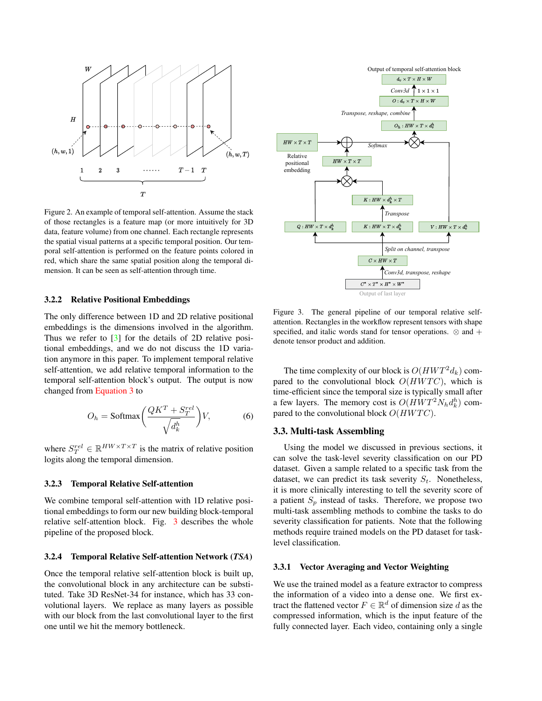<span id="page-4-3"></span><span id="page-4-1"></span>

Figure 2. An example of temporal self-attention. Assume the stack of those rectangles is a feature map (or more intuitively for 3D data, feature volume) from one channel. Each rectangle represents the spatial visual patterns at a specific temporal position. Our temporal self-attention is performed on the feature points colored in red, which share the same spatial position along the temporal dimension. It can be seen as self-attention through time.

#### <span id="page-4-0"></span>3.2.2 Relative Positional Embeddings

The only difference between 1D and 2D relative positional embeddings is the dimensions involved in the algorithm. Thus we refer to [\[3\]](#page-13-9) for the details of 2D relative positional embeddings, and we do not discuss the 1D variation anymore in this paper. To implement temporal relative self-attention, we add relative temporal information to the temporal self-attention block's output. The output is now changed from [Equation 3](#page-3-2) to

$$
O_h = \text{Softmax}\left(\frac{QK^T + S_T^{rel}}{\sqrt{d_k^h}}\right) V,\tag{6}
$$

where  $S_T^{rel} \in \mathbb{R}^{HW \times T \times T}$  is the matrix of relative position logits along the temporal dimension.

## 3.2.3 Temporal Relative Self-attention

We combine temporal self-attention with 1D relative positional embeddings to form our new building block-temporal relative self-attention block. Fig. [3](#page-4-2) describes the whole pipeline of the proposed block.

#### 3.2.4 Temporal Relative Self-attention Network (*TSA*)

Once the temporal relative self-attention block is built up, the convolutional block in any architecture can be substituted. Take 3D ResNet-34 for instance, which has 33 convolutional layers. We replace as many layers as possible with our block from the last convolutional layer to the first one until we hit the memory bottleneck.

<span id="page-4-2"></span>

Figure 3. The general pipeline of our temporal relative selfattention. Rectangles in the workflow represent tensors with shape specified, and italic words stand for tensor operations.  $\otimes$  and  $+$ denote tensor product and addition.

The time complexity of our block is  $O(HWT^2 d_k)$  compared to the convolutional block  $O(HWTC)$ , which is time-efficient since the temporal size is typically small after a few layers. The memory cost is  $O(HWT^2N_hd^h_k)$  compared to the convolutional block  $O(HWTC)$ .

#### 3.3. Multi-task Assembling

Using the model we discussed in previous sections, it can solve the task-level severity classification on our PD dataset. Given a sample related to a specific task from the dataset, we can predict its task severity  $S_t$ . Nonetheless, it is more clinically interesting to tell the severity score of a patient  $S_p$  instead of tasks. Therefore, we propose two multi-task assembling methods to combine the tasks to do severity classification for patients. Note that the following methods require trained models on the PD dataset for tasklevel classification.

#### 3.3.1 Vector Averaging and Vector Weighting

We use the trained model as a feature extractor to compress the information of a video into a dense one. We first extract the flattened vector  $F \in \mathbb{R}^d$  of dimension size d as the compressed information, which is the input feature of the fully connected layer. Each video, containing only a single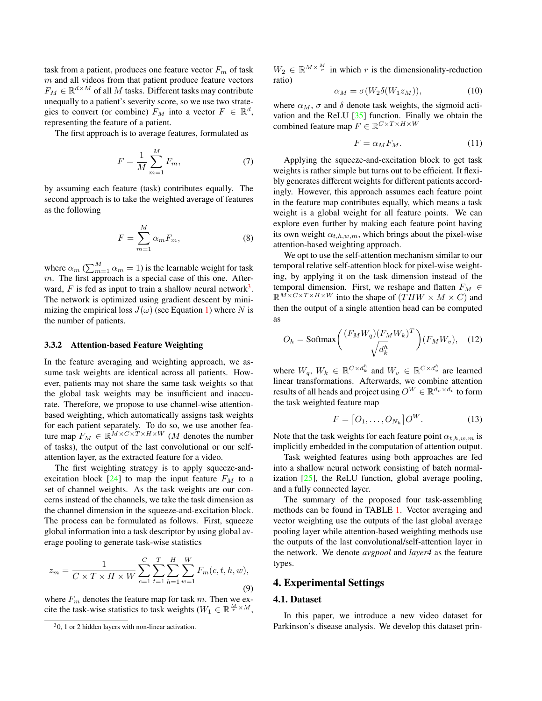<span id="page-5-1"></span>task from a patient, produces one feature vector  $F_m$  of task  $m$  and all videos from that patient produce feature vectors  $F_M \in \mathbb{R}^{d \times M}$  of all M tasks. Different tasks may contribute unequally to a patient's severity score, so we use two strategies to convert (or combine)  $F_M$  into a vector  $F \in \mathbb{R}^d$ , representing the feature of a patient.

The first approach is to average features, formulated as

$$
F = \frac{1}{M} \sum_{m=1}^{M} F_m,
$$
 (7)

by assuming each feature (task) contributes equally. The second approach is to take the weighted average of features as the following

$$
F = \sum_{m=1}^{M} \alpha_m F_m,\tag{8}
$$

where  $\alpha_m$  ( $\sum_{m=1}^{M} \alpha_m = 1$ ) is the learnable weight for task  $m$ . The first approach is a special case of this one. Afterward,  $F$  is fed as input to train a shallow neural network<sup>[3](#page-5-0)</sup>. The network is optimized using gradient descent by minimizing the empirical loss  $J(\omega)$  (see Equation [1\)](#page-3-3) where N is the number of patients.

#### 3.3.2 Attention-based Feature Weighting

In the feature averaging and weighting approach, we assume task weights are identical across all patients. However, patients may not share the same task weights so that the global task weights may be insufficient and inaccurate. Therefore, we propose to use channel-wise attentionbased weighting, which automatically assigns task weights for each patient separately. To do so, we use another feature map  $F_M \in \mathbb{R}^{M \times C \times T \times H \times W}$  (*M* denotes the number of tasks), the output of the last convolutional or our selfattention layer, as the extracted feature for a video.

The first weighting strategy is to apply squeeze-and-excitation block [\[24\]](#page-14-19) to map the input feature  $F<sub>M</sub>$  to a set of channel weights. As the task weights are our concerns instead of the channels, we take the task dimension as the channel dimension in the squeeze-and-excitation block. The process can be formulated as follows. First, squeeze global information into a task descriptor by using global average pooling to generate task-wise statistics

$$
z_m = \frac{1}{C \times T \times H \times W} \sum_{c=1}^{C} \sum_{t=1}^{T} \sum_{h=1}^{H} \sum_{w=1}^{W} F_m(c, t, h, w),
$$
\n(9)

where  $F_m$  denotes the feature map for task m. Then we excite the task-wise statistics to task weights ( $W_1 \in \mathbb{R}^{\frac{M}{r} \times M}$ ,

 $W_2 \in \mathbb{R}^{M \times \frac{M}{r}}$  in which r is the dimensionality-reduction ratio)

$$
\alpha_M = \sigma(W_2 \delta(W_1 z_M)), \tag{10}
$$

where  $\alpha_M$ ,  $\sigma$  and  $\delta$  denote task weights, the sigmoid activation and the ReLU [\[35\]](#page-14-20) function. Finally we obtain the combined feature map  $F \in \mathbb{R}^{C \times T \times H \times W}$ 

$$
F = \alpha_M F_M. \tag{11}
$$

Applying the squeeze-and-excitation block to get task weights is rather simple but turns out to be efficient. It flexibly generates different weights for different patients accordingly. However, this approach assumes each feature point in the feature map contributes equally, which means a task weight is a global weight for all feature points. We can explore even further by making each feature point having its own weight  $\alpha_{t,h,w,m}$ , which brings about the pixel-wise attention-based weighting approach.

We opt to use the self-attention mechanism similar to our temporal relative self-attention block for pixel-wise weighting, by applying it on the task dimension instead of the temporal dimension. First, we reshape and flatten  $F_M \in$  $\mathbb{R}^{M \times C \times T \times H \times W}$  into the shape of  $(THW \times M \times C)$  and then the output of a single attention head can be computed as

$$
O_h = \text{Softmax}\left(\frac{(F_M W_q)(F_M W_k)^T}{\sqrt{d_k^h}}\right)(F_M W_v), \quad (12)
$$

where  $W_q$ ,  $W_k \in \mathbb{R}^{C \times d_k^h}$  and  $W_v \in \mathbb{R}^{C \times d_v^h}$  are learned linear transformations. Afterwards, we combine attention results of all heads and project using  $O^W \in \mathbb{R}^{d_v \times d_v}$  to form the task weighted feature map

$$
F = [O_1, \dots, O_{N_h}]O^W.
$$
 (13)

Note that the task weights for each feature point  $\alpha_{t,h,w,m}$  is implicitly embedded in the computation of attention output.

Task weighted features using both approaches are fed into a shallow neural network consisting of batch normalization [\[25\]](#page-14-21), the ReLU function, global average pooling, and a fully connected layer.

The summary of the proposed four task-assembling methods can be found in TABLE [1.](#page-6-0) Vector averaging and vector weighting use the outputs of the last global average pooling layer while attention-based weighting methods use the outputs of the last convolutional/self-attention layer in the network. We denote *avgpool* and *layer4* as the feature types.

## 4. Experimental Settings

#### 4.1. Dataset

In this paper, we introduce a new video dataset for Parkinson's disease analysis. We develop this dataset prin-

<span id="page-5-0"></span> $30$ , 1 or 2 hidden layers with non-linear activation.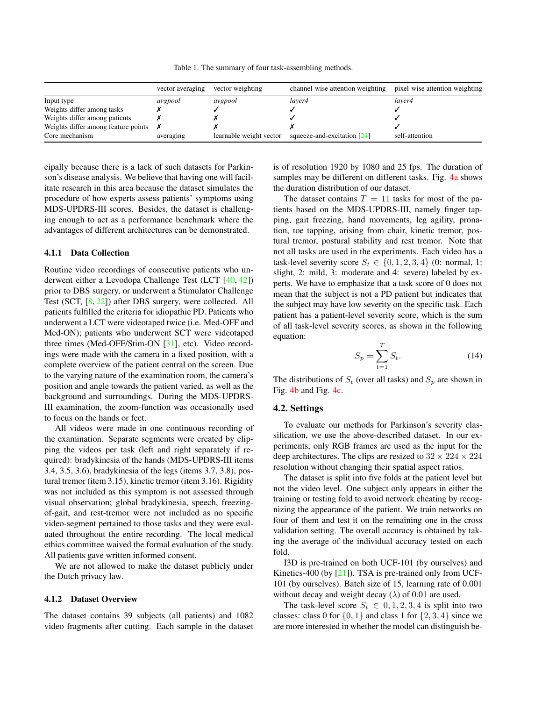Table 1. The summary of four task-assembling methods.

<span id="page-6-1"></span><span id="page-6-0"></span>

|                                     | vector averaging | vector weighting        | channel-wise attention weighting | pixel-wise attention weighting |
|-------------------------------------|------------------|-------------------------|----------------------------------|--------------------------------|
| Input type                          | avgpool          | avgpool                 | layer4                           | layer4                         |
| Weights differ among tasks          |                  |                         |                                  |                                |
| Weights differ among patients       |                  |                         |                                  |                                |
| Weights differ among feature points |                  |                         |                                  |                                |
| Core mechanism                      | averaging        | learnable weight vector | squeeze-and-excitation [24]      | self-attention                 |

cipally because there is a lack of such datasets for Parkinson's disease analysis. We believe that having one will facilitate research in this area because the dataset simulates the procedure of how experts assess patients' symptoms using MDS-UPDRS-III scores. Besides, the dataset is challenging enough to act as a performance benchmark where the advantages of different architectures can be demonstrated.

## 4.1.1 Data Collection

Routine video recordings of consecutive patients who underwent either a Levodopa Challenge Test (LCT [\[40,](#page-15-18) [42\]](#page-15-19)) prior to DBS surgery, or underwent a Stimulator Challenge Test (SCT, [\[8,](#page-13-12) [22\]](#page-14-22)) after DBS surgery, were collected. All patients fulfilled the criteria for idiopathic PD. Patients who underwent a LCT were videotaped twice (i.e. Med-OFF and Med-ON); patients who underwent SCT were videotaped three times (Med-OFF/Stim-ON [\[31\]](#page-14-23), etc). Video recordings were made with the camera in a fixed position, with a complete overview of the patient central on the screen. Due to the varying nature of the examination room, the camera's position and angle towards the patient varied, as well as the background and surroundings. During the MDS-UPDRS-III examination, the zoom-function was occasionally used to focus on the hands or feet.

All videos were made in one continuous recording of the examination. Separate segments were created by clipping the videos per task (left and right separately if required): bradykinesia of the hands (MDS-UPDRS-III items 3.4, 3.5, 3.6), bradykinesia of the legs (items 3.7, 3.8), postural tremor (item 3.15), kinetic tremor (item 3.16). Rigidity was not included as this symptom is not assessed through visual observation; global bradykinesia, speech, freezingof-gait, and rest-tremor were not included as no specific video-segment pertained to those tasks and they were evaluated throughout the entire recording. The local medical ethics committee waived the formal evaluation of the study. All patients gave written informed consent.

We are not allowed to make the dataset publicly under the Dutch privacy law.

#### 4.1.2 Dataset Overview

The dataset contains 39 subjects (all patients) and 1082 video fragments after cutting. Each sample in the dataset is of resolution 1920 by 1080 and 25 fps. The duration of samples may be different on different tasks. Fig. [4a](#page-7-0) shows the duration distribution of our dataset.

The dataset contains  $T = 11$  tasks for most of the patients based on the MDS-UPDRS-III, namely finger tapping, gait freezing, hand movements, leg agility, pronation, toe tapping, arising from chair, kinetic tremor, postural tremor, postural stability and rest tremor. Note that not all tasks are used in the experiments. Each video has a task-level severity score  $S_t \in \{0, 1, 2, 3, 4\}$  (0: normal, 1: slight, 2: mild, 3: moderate and 4: severe) labeled by experts. We have to emphasize that a task score of 0 does not mean that the subject is not a PD patient but indicates that the subject may have low severity on the specific task. Each patient has a patient-level severity score, which is the sum of all task-level severity scores, as shown in the following equation:

$$
S_p = \sum_{t=1}^{T} S_t.
$$
 (14)

The distributions of  $S_t$  (over all tasks) and  $S_p$  are shown in Fig. [4b](#page-7-0) and Fig. [4c.](#page-7-0)

#### 4.2. Settings

To evaluate our methods for Parkinson's severity classification, we use the above-described dataset. In our experiments, only RGB frames are used as the input for the deep architectures. The clips are resized to  $32 \times 224 \times 224$ resolution without changing their spatial aspect ratios.

The dataset is split into five folds at the patient level but not the video level. One subject only appears in either the training or testing fold to avoid network cheating by recognizing the appearance of the patient. We train networks on four of them and test it on the remaining one in the cross validation setting. The overall accuracy is obtained by taking the average of the individual accuracy tested on each fold.

I3D is pre-trained on both UCF-101 (by ourselves) and Kinetics-400 (by [\[21\]](#page-14-7)). TSA is pre-trained only from UCF-101 (by ourselves). Batch size of 15, learning rate of 0.001 without decay and weight decay  $(\lambda)$  of 0.01 are used.

The task-level score  $S_t \in [0, 1, 2, 3, 4]$  is split into two classes: class 0 for  $\{0, 1\}$  and class 1 for  $\{2, 3, 4\}$  since we are more interested in whether the model can distinguish be-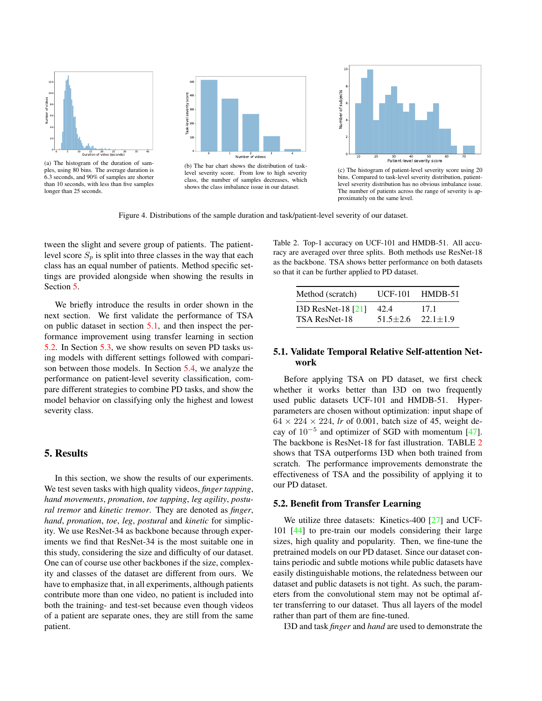<span id="page-7-5"></span><span id="page-7-0"></span>

ples, using 80 bins. The average duration is 6.3 seconds, and 90% of samples are shorter than 10 seconds, with less than five samples longer than 25 seconds.



(b) The bar chart shows the distribution of tasklevel severity score. From low to high severity class, the number of samples decreases, which shows the class imbalance issue in our dataset.



(c) The histogram of patient-level severity score using 20 bins. Compared to task-level severity distribution, patientlevel severity distribution has no obvious imbalance issue. The number of patients across the range of severity is approximately on the same level.

Figure 4. Distributions of the sample duration and task/patient-level severity of our dataset.

tween the slight and severe group of patients. The patientlevel score  $S_p$  is split into three classes in the way that each class has an equal number of patients. Method specific settings are provided alongside when showing the results in Section [5.](#page-7-1)

We briefly introduce the results in order shown in the next section. We first validate the performance of TSA on public dataset in section [5.1,](#page-7-2) and then inspect the performance improvement using transfer learning in section [5.2.](#page-7-3) In Section [5.3,](#page-8-0) we show results on seven PD tasks using models with different settings followed with comparison between those models. In Section [5.4,](#page-11-0) we analyze the performance on patient-level severity classification, compare different strategies to combine PD tasks, and show the model behavior on classifying only the highest and lowest severity class.

# <span id="page-7-1"></span>5. Results

In this section, we show the results of our experiments. We test seven tasks with high quality videos, *finger tapping*, *hand movements*, *pronation*, *toe tapping*, *leg agility*, *postural tremor* and *kinetic tremor*. They are denoted as *finger*, *hand*, *pronation*, *toe*, *leg*, *postural* and *kinetic* for simplicity. We use ResNet-34 as backbone because through experiments we find that ResNet-34 is the most suitable one in this study, considering the size and difficulty of our dataset. One can of course use other backbones if the size, complexity and classes of the dataset are different from ours. We have to emphasize that, in all experiments, although patients contribute more than one video, no patient is included into both the training- and test-set because even though videos of a patient are separate ones, they are still from the same patient.

<span id="page-7-4"></span>Table 2. Top-1 accuracy on UCF-101 and HMDB-51. All accuracy are averaged over three splits. Both methods use ResNet-18 as the backbone. TSA shows better performance on both datasets so that it can be further applied to PD dataset.

| Method (scratch)     | <b>UCF-101</b> | HMDB-51        |
|----------------------|----------------|----------------|
| I3D ResNet-18 $[21]$ | 42.4           | 17.1           |
| TSA ResNet-18        | $51.5 \pm 2.6$ | $22.1 \pm 1.9$ |

## <span id="page-7-2"></span>5.1. Validate Temporal Relative Self-attention Network

Before applying TSA on PD dataset, we first check whether it works better than I3D on two frequently used public datasets UCF-101 and HMDB-51. Hyperparameters are chosen without optimization: input shape of  $64 \times 224 \times 224$ , *lr* of 0.001, batch size of 45, weight decay of  $10^{-5}$  and optimizer of SGD with momentum [\[47\]](#page-15-20). The backbone is ResNet-18 for fast illustration. TABLE [2](#page-7-4) shows that TSA outperforms I3D when both trained from scratch. The performance improvements demonstrate the effectiveness of TSA and the possibility of applying it to our PD dataset.

## <span id="page-7-3"></span>5.2. Benefit from Transfer Learning

We utilize three datasets: Kinetics-400 [\[27\]](#page-14-24) and UCF-101 [\[44\]](#page-15-21) to pre-train our models considering their large sizes, high quality and popularity. Then, we fine-tune the pretrained models on our PD dataset. Since our dataset contains periodic and subtle motions while public datasets have easily distinguishable motions, the relatedness between our dataset and public datasets is not tight. As such, the parameters from the convolutional stem may not be optimal after transferring to our dataset. Thus all layers of the model rather than part of them are fine-tuned.

I3D and task *finger* and *hand* are used to demonstrate the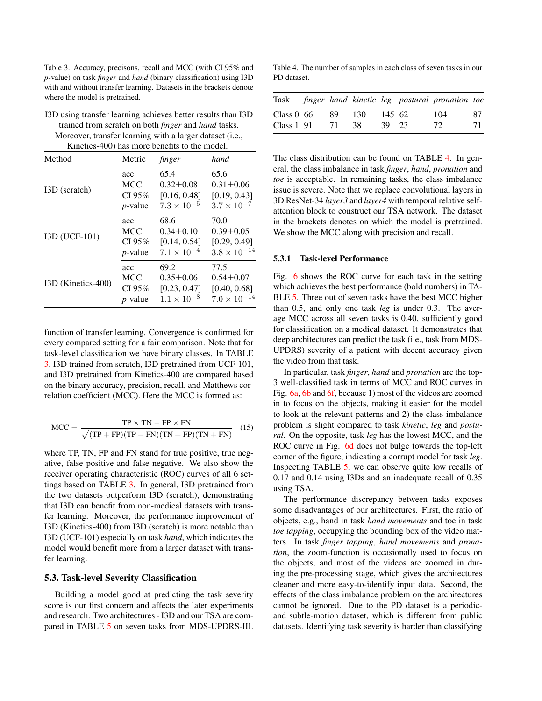<span id="page-8-1"></span>Table 3. Accuracy, precisons, recall and MCC (with CI 95% and *p*-value) on task *finger* and *hand* (binary classification) using I3D with and without transfer learning. Datasets in the brackets denote where the model is pretrained.

I3D using transfer learning achieves better results than I3D trained from scratch on both *finger* and *hand* tasks. Moreover, transfer learning with a larger dataset (i.e., Kinetics-400) has more benefits to the model.

| Method             | Metric          | finger               | hand                  |
|--------------------|-----------------|----------------------|-----------------------|
| I3D (scratch)      | acc             | 65.4                 | 65.6                  |
|                    | <b>MCC</b>      | $0.32 \pm 0.08$      | $0.31 \pm 0.06$       |
|                    | CI 95%          | [0.16, 0.48]         | [0.19, 0.43]          |
|                    | $p$ -value      | $7.3 \times 10^{-5}$ | $3.7 \times 10^{-7}$  |
| I3D (UCF-101)      | acc             | 68.6                 | 70.0                  |
|                    | <b>MCC</b>      | $0.34 + 0.10$        | $0.39 + 0.05$         |
|                    | CI 95%          | [0.14, 0.54]         | [0.29, 0.49]          |
|                    | <i>p</i> -value | $7.1 \times 10^{-4}$ | $3.8 \times 10^{-14}$ |
| I3D (Kinetics-400) | acc             | 69.2                 | 77.5                  |
|                    | MCC             | $0.35 + 0.06$        | $0.54 + 0.07$         |
|                    | CI 95%          | [0.23, 0.47]         | [0.40, 0.68]          |
|                    | $p$ -value      | $1.1 \times 10^{-8}$ | $7.0 \times 10^{-14}$ |

function of transfer learning. Convergence is confirmed for every compared setting for a fair comparison. Note that for task-level classification we have binary classes. In TABLE [3,](#page-8-1) I3D trained from scratch, I3D pretrained from UCF-101, and I3D pretrained from Kinetics-400 are compared based on the binary accuracy, precision, recall, and Matthews correlation coefficient (MCC). Here the MCC is formed as:

$$
MCC = \frac{TP \times TN - FP \times FN}{\sqrt{(TP + FP)(TP + FN)(TN + FP)(TN + FN)}} \quad (15)
$$

where TP, TN, FP and FN stand for true positive, true negative, false positive and false negative. We also show the receiver operating characteristic (ROC) curves of all 6 settings based on TABLE [3.](#page-8-1) In general, I3D pretrained from the two datasets outperform I3D (scratch), demonstrating that I3D can benefit from non-medical datasets with transfer learning. Moreover, the performance improvement of I3D (Kinetics-400) from I3D (scratch) is more notable than I3D (UCF-101) especially on task *hand*, which indicates the model would benefit more from a larger dataset with transfer learning.

#### <span id="page-8-0"></span>5.3. Task-level Severity Classification

Building a model good at predicting the task severity score is our first concern and affects the later experiments and research. Two architectures - I3D and our TSA are compared in TABLE [5](#page-9-0) on seven tasks from MDS-UPDRS-III.

<span id="page-8-2"></span>Table 4. The number of samples in each class of seven tasks in our PD dataset.

| Task          |     |     |        | finger hand kinetic leg postural pronation toe |    |
|---------------|-----|-----|--------|------------------------------------------------|----|
| Class $0\,66$ | -89 | 130 | 145 62 | 104                                            | 87 |
| Class $1\,91$ | 71  | -38 | 39 23  | 72.                                            | 71 |

The class distribution can be found on TABLE [4.](#page-8-2) In general, the class imbalance in task *finger*, *hand*, *pronation* and *toe* is acceptable. In remaining tasks, the class imbalance issue is severe. Note that we replace convolutional layers in 3D ResNet-34 *layer3* and *layer4* with temporal relative selfattention block to construct our TSA network. The dataset in the brackets denotes on which the model is pretrained. We show the MCC along with precision and recall.

#### 5.3.1 Task-level Performance

Fig. [6](#page-10-0) shows the ROC curve for each task in the setting which achieves the best performance (bold numbers) in TA-BLE [5.](#page-9-0) Three out of seven tasks have the best MCC higher than 0.5, and only one task *leg* is under 0.3. The average MCC across all seven tasks is 0.40, sufficiently good for classification on a medical dataset. It demonstrates that deep architectures can predict the task (i.e., task from MDS-UPDRS) severity of a patient with decent accuracy given the video from that task.

In particular, task *finger*, *hand* and *pronation* are the top-3 well-classified task in terms of MCC and ROC curves in Fig. [6a,](#page-10-0) [6b](#page-10-0) and [6f,](#page-10-0) because 1) most of the videos are zoomed in to focus on the objects, making it easier for the model to look at the relevant patterns and 2) the class imbalance problem is slight compared to task *kinetic*, *leg* and *postural*. On the opposite, task *leg* has the lowest MCC, and the ROC curve in Fig. [6d](#page-10-0) does not bulge towards the top-left corner of the figure, indicating a corrupt model for task *leg*. Inspecting TABLE [5,](#page-9-0) we can observe quite low recalls of 0.17 and 0.14 using I3Ds and an inadequate recall of 0.35 using TSA.

The performance discrepancy between tasks exposes some disadvantages of our architectures. First, the ratio of objects, e.g., hand in task *hand movements* and toe in task *toe tapping*, occupying the bounding box of the video matters. In task *finger tapping*, *hand movements* and *pronation*, the zoom-function is occasionally used to focus on the objects, and most of the videos are zoomed in during the pre-processing stage, which gives the architectures cleaner and more easy-to-identify input data. Second, the effects of the class imbalance problem on the architectures cannot be ignored. Due to the PD dataset is a periodicand subtle-motion dataset, which is different from public datasets. Identifying task severity is harder than classifying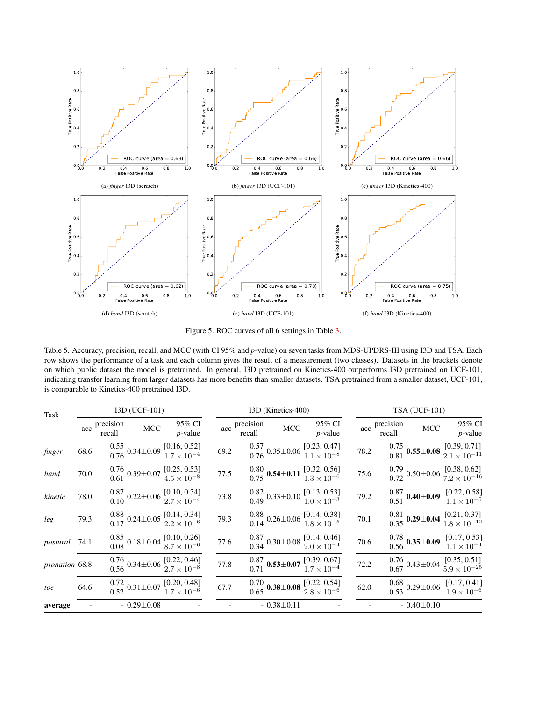

Figure 5. ROC curves of all 6 settings in Table [3.](#page-8-1)

<span id="page-9-0"></span>Table 5. Accuracy, precision, recall, and MCC (with CI 95% and *p*-value) on seven tasks from MDS-UPDRS-III using I3D and TSA. Each row shows the performance of a task and each column gives the result of a measurement (two classes). Datasets in the brackets denote on which public dataset the model is pretrained. In general, I3D pretrained on Kinetics-400 outperforms I3D pretrained on UCF-101, indicating transfer learning from larger datasets has more benefits than smaller datasets. TSA pretrained from a smaller dataset, UCF-101, is comparable to Kinetics-400 pretrained I3D.

| I3D (UCF-101)<br>Task |      |                         |                  |                                                                                                                  | I3D (Kinetics-400) |                         |                  | <b>TSA (UCF-101)</b>                                                                                                      |      |                         |                                                                |                                       |
|-----------------------|------|-------------------------|------------------|------------------------------------------------------------------------------------------------------------------|--------------------|-------------------------|------------------|---------------------------------------------------------------------------------------------------------------------------|------|-------------------------|----------------------------------------------------------------|---------------------------------------|
|                       |      | acc precision<br>recall | MCC              | 95% CI<br>$p$ -value                                                                                             |                    | acc precision<br>recall | MCC              | 95% CI<br>$p$ -value                                                                                                      |      | acc precision<br>recall | MCC                                                            | 95% CI<br>$p$ -value                  |
| finger                | 68.6 | 0.76                    |                  | $\frac{0.55}{0.36}$ 0.34±0.09 $\frac{[0.16, 0.52]}{1.7}$<br>$1.7\times10^{-4}$                                   | 69.2               | 0.76                    |                  | $\frac{0.57}{0.35}$ 0.35 ± 0.06 $\frac{[0.23, 0.47]}{1.1 \times 10^{-8}}$<br>$1.1\times10^{-8}$                           | 78.2 | 0.81                    | $\frac{0.75}{0.21}$ 0.55±0.08                                  | [0.39, 0.71]<br>$2.1\times10^{-11}$   |
| hand                  | 70.0 | 0.61                    |                  | $\frac{0.76}{0.61}$ $\frac{0.39 \pm 0.07}{0.25}$ $\frac{[0.25, 0.53]}{1.5 \times 10^{-8}}$<br>$4.5\times10^{-8}$ | 77.5               |                         |                  | $\underset{0.75}{0.80} \text{ } 0.54 \pm 0.11 \text{ } \underset{1.3 \times 10^{-6}}{[0.32, 0.56]}$<br>$1.3\times10^{-6}$ | 75.6 |                         | $\stackrel{0.79}{_{0.72}}$ $\stackrel{0.50 \pm 0.06}{_{0.72}}$ | [0.38, 0.62]<br>$7.2\times10^{-16}$   |
| kinetic               | 78.0 | 0.10                    |                  | $\frac{0.87}{0.10}$ 0.22±0.06 $\frac{[0.10, 0.34]}{2.7 \times 10^{-4}}$<br>$2.7 \times 10^{-4}$                  | 73.8               | 0.49                    |                  | $\frac{0.82}{0.49}$ 0.33±0.10 $\frac{[0.13, 0.53]}{1.0 \times 10^{-3}}$<br>$1.0 \times 10^{-3}$                           | 79.2 | 0.51                    | $^{0.87}_{0.51}$ 0.40±0.09                                     | [0.22, 0.58]<br>$1.1 \times 10^{-5}$  |
| leg                   | 79.3 |                         |                  | $\underset{0.17}{0.88} \,\, 0.24\textcolor{red}{\pm 0.05}\,\, \underset{2.2\times10^{-6}}{[0.14, 0.34]}$         | 79.3               | 0.14                    |                  | $\frac{0.88}{0.26 \pm 0.06}$ $\frac{[0.14, 0.38]}{1.0}$<br>$1.8\times10^{-5}$                                             | 70.1 | 0.35                    | $\frac{0.81}{0.25}$ 0.29±0.04                                  | [0.21, 0.37]<br>$1.8 \times 10^{-12}$ |
| postural              | 74.1 |                         |                  | $\underset{0.08}{0.85}\,\,0.18{\pm}0.04\,\, \underset{8.7\times10^{-6}}{[0.10,0.26]}$                            | 77.6               | 0.34                    |                  | $\frac{0.87}{0.24}$ 0.30±0.08 $\frac{[0.14, 0.46]}{0.24}$<br>$2.0\times10^{-4}$                                           | 70.6 | 0.56                    | $\frac{0.78}{0.56}$ 0.35±0.09                                  | [0.17, 0.53]<br>$1.1\times10^{-4}$    |
| pronation 68.8        |      |                         |                  | $\underset{0.56}{0.76} 0.34 \pm 0.06 \underset{2.7}{[0.22, 0.46]}$                                               | 77.8               |                         |                  | $\begin{array}{c} 0.87 \\ 0.71 \end{array}$ 0.53±0.07 $\begin{array}{c} [0.39, 0.67] \\ 1.7 \times 10^{-4} \end{array}$   | 72.2 | 0.67                    | $\frac{0.76}{0.67}$ 0.43±0.04                                  | [0.35, 0.51]<br>$5.9\times10^{-25}$   |
| toe                   | 64.6 |                         |                  | $\underset{0.52}{0.72} \,\, 0.31 \pm \underset{1.7}{0.07} \,\, \underset{1.7}{[0.20, \, 0.48]} \,\,$             | 67.7               |                         |                  | 0.70 <b>0.38</b> ± <b>0.08</b> $\begin{bmatrix} 0.22 & 0.54 \\ 2.8 & 10^{-6} \end{bmatrix}$                               | 62.0 |                         | $\stackrel{0.68}{_{0.53}}$ 0.29±0.06                           | [0.17, 0.41]<br>$1.9\times10^{-6}$    |
| average               |      |                         | $-0.29 \pm 0.08$ |                                                                                                                  |                    |                         | $-0.38 \pm 0.11$ |                                                                                                                           |      |                         | $-0.40 \pm 0.10$                                               |                                       |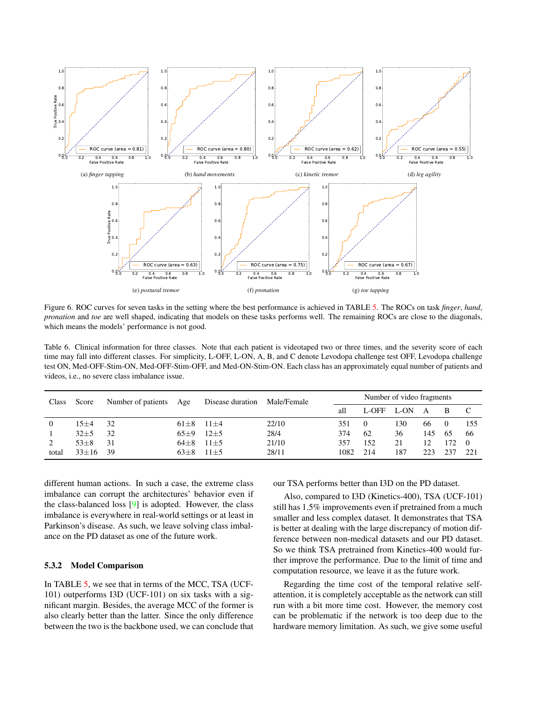<span id="page-10-2"></span><span id="page-10-0"></span>

Figure 6. ROC curves for seven tasks in the setting where the best performance is achieved in TABLE [5.](#page-9-0) The ROCs on task *finger*, *hand*, *pronation* and *toe* are well shaped, indicating that models on these tasks performs well. The remaining ROCs are close to the diagonals, which means the models' performance is not good.

<span id="page-10-1"></span>Table 6. Clinical information for three classes. Note that each patient is videotaped two or three times, and the severity score of each time may fall into different classes. For simplicity, L-OFF, L-ON, A, B, and C denote Levodopa challenge test OFF, Levodopa challenge test ON, Med-OFF-Stim-ON, Med-OFF-Stim-OFF, and Med-ON-Stim-ON. Each class has an approximately equal number of patients and videos, i.e., no severe class imbalance issue.

| Class<br>Score |           | Number of patients | Age      | Disease duration | Male/Female |      |       | Number of video fragments |     |     |          |
|----------------|-----------|--------------------|----------|------------------|-------------|------|-------|---------------------------|-----|-----|----------|
|                |           |                    |          |                  |             | al   | L-OFF | L-ON                      | A   | B   |          |
| 0              | 15±4      | 32                 | $61 + 8$ | $11 + 4$         | 22/10       | 351  |       | 130                       | 66  |     | 155      |
|                | $32\pm5$  | 32                 | $65+9$   | $12\pm5$         | 28/4        | 374  | 62    | 36                        | 145 | 65  | -66      |
|                | $53\pm8$  | 31                 | 64+8     | $11 + 5$         | 21/10       | 357  | 152   | 21                        | 12. |     | $\Omega$ |
| total          | $33 + 16$ | 39                 | $63 + 8$ | $11 + 5$         | 28/11       | 1082 | 214   | 187                       | 223 | 237 | 22.1     |

different human actions. In such a case, the extreme class imbalance can corrupt the architectures' behavior even if the class-balanced loss [\[9\]](#page-13-11) is adopted. However, the class imbalance is everywhere in real-world settings or at least in Parkinson's disease. As such, we leave solving class imbalance on the PD dataset as one of the future work.

## 5.3.2 Model Comparison

In TABLE [5,](#page-9-0) we see that in terms of the MCC, TSA (UCF-101) outperforms I3D (UCF-101) on six tasks with a significant margin. Besides, the average MCC of the former is also clearly better than the latter. Since the only difference between the two is the backbone used, we can conclude that our TSA performs better than I3D on the PD dataset.

Also, compared to I3D (Kinetics-400), TSA (UCF-101) still has 1.5% improvements even if pretrained from a much smaller and less complex dataset. It demonstrates that TSA is better at dealing with the large discrepancy of motion difference between non-medical datasets and our PD dataset. So we think TSA pretrained from Kinetics-400 would further improve the performance. Due to the limit of time and computation resource, we leave it as the future work.

Regarding the time cost of the temporal relative selfattention, it is completely acceptable as the network can still run with a bit more time cost. However, the memory cost can be problematic if the network is too deep due to the hardware memory limitation. As such, we give some useful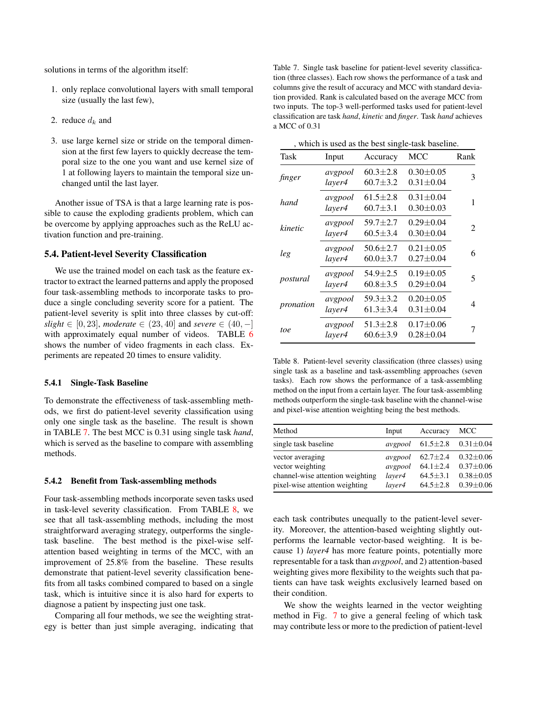solutions in terms of the algorithm itself:

- 1. only replace convolutional layers with small temporal size (usually the last few),
- 2. reduce  $d_k$  and
- 3. use large kernel size or stride on the temporal dimension at the first few layers to quickly decrease the temporal size to the one you want and use kernel size of 1 at following layers to maintain the temporal size unchanged until the last layer.

Another issue of TSA is that a large learning rate is possible to cause the exploding gradients problem, which can be overcome by applying approaches such as the ReLU activation function and pre-training.

# <span id="page-11-0"></span>5.4. Patient-level Severity Classification

We use the trained model on each task as the feature extractor to extract the learned patterns and apply the proposed four task-assembling methods to incorporate tasks to produce a single concluding severity score for a patient. The patient-level severity is split into three classes by cut-off: *slight* ∈ [0, 23], *moderate* ∈ (23, 40] and *severe* ∈ (40, –] with approximately equal number of videos. TABLE [6](#page-10-1) shows the number of video fragments in each class. Experiments are repeated 20 times to ensure validity.

## 5.4.1 Single-Task Baseline

To demonstrate the effectiveness of task-assembling methods, we first do patient-level severity classification using only one single task as the baseline. The result is shown in TABLE [7.](#page-11-1) The best MCC is 0.31 using single task *hand*, which is served as the baseline to compare with assembling methods.

#### <span id="page-11-3"></span>5.4.2 Benefit from Task-assembling methods

Four task-assembling methods incorporate seven tasks used in task-level severity classification. From TABLE  $8$ , we see that all task-assembling methods, including the most straightforward averaging strategy, outperforms the singletask baseline. The best method is the pixel-wise selfattention based weighting in terms of the MCC, with an improvement of 25.8% from the baseline. These results demonstrate that patient-level severity classification benefits from all tasks combined compared to based on a single task, which is intuitive since it is also hard for experts to diagnose a patient by inspecting just one task.

Comparing all four methods, we see the weighting strategy is better than just simple averaging, indicating that <span id="page-11-1"></span>Table 7. Single task baseline for patient-level severity classification (three classes). Each row shows the performance of a task and columns give the result of accuracy and MCC with standard deviation provided. Rank is calculated based on the average MCC from two inputs. The top-3 well-performed tasks used for patient-level classification are task *hand*, *kinetic* and *finger*. Task *hand* achieves a MCC of 0.31

| Task      | Input             | Accuracy                         | MCC                                | Rank           |
|-----------|-------------------|----------------------------------|------------------------------------|----------------|
| finger    | avgpool<br>layer4 | $60.3 \pm 2.8$<br>$60.7 \pm 3.2$ | $0.30 \pm 0.05$<br>$0.31 \pm 0.04$ | 3              |
| hand      | avgpool<br>layer4 | $61.5 \pm 2.8$<br>$60.7 \pm 3.1$ | $0.31 \pm 0.04$<br>$0.30 \pm 0.03$ | 1              |
| kinetic   | avgpool<br>layer4 | $59.7 \pm 2.7$<br>$60.5 \pm 3.4$ | $0.29 \pm 0.04$<br>$0.30 \pm 0.04$ | $\mathfrak{D}$ |
| leg       | avgpool<br>layer4 | $50.6 + 2.7$<br>$60.0 \pm 3.7$   | $0.21 + 0.05$<br>$0.27 + 0.04$     | 6              |
| postural  | avgpool<br>layer4 | $54.9 + 2.5$<br>$60.8 + 3.5$     | $0.19 + 0.05$<br>$0.29 + 0.04$     | 5              |
| pronation | avgpool<br>layer4 | $59.3 \pm 3.2$<br>$61.3 \pm 3.4$ | $0.20 \pm 0.05$<br>$0.31 \pm 0.04$ | 4              |
| toe       | avgpool<br>laver4 | $51.3 \pm 2.8$<br>$60.6 \pm 3.9$ | $0.17 \pm 0.06$<br>$0.28 \pm 0.04$ | 7              |

, which is used as the best single-task baseline.

<span id="page-11-2"></span>Table 8. Patient-level severity classification (three classes) using single task as a baseline and task-assembling approaches (seven tasks). Each row shows the performance of a task-assembling method on the input from a certain layer. The four task-assembling methods outperform the single-task baseline with the channel-wise and pixel-wise attention weighting being the best methods.

| Method                                                                                                     | Input                                  | Accuracy                                                             | MCC                                                                      |
|------------------------------------------------------------------------------------------------------------|----------------------------------------|----------------------------------------------------------------------|--------------------------------------------------------------------------|
| single task baseline                                                                                       | avgpool                                | $61.5 \pm 2.8$                                                       | $0.31 \pm 0.04$                                                          |
| vector averaging<br>vector weighting<br>channel-wise attention weighting<br>pixel-wise attention weighting | avgpool<br>avgpool<br>laver4<br>laver4 | $62.7 \pm 2.4$<br>$64.1 \pm 2.4$<br>$64.5 \pm 3.1$<br>$64.5 \pm 2.8$ | $0.32 \pm 0.06$<br>$0.37 \pm 0.06$<br>$0.38 \pm 0.05$<br>$0.39 \pm 0.06$ |

each task contributes unequally to the patient-level severity. Moreover, the attention-based weighting slightly outperforms the learnable vector-based weighting. It is because 1) *layer4* has more feature points, potentially more representable for a task than *avgpool*, and 2) attention-based weighting gives more flexibility to the weights such that patients can have task weights exclusively learned based on their condition.

We show the weights learned in the vector weighting method in Fig. [7](#page-12-0) to give a general feeling of which task may contribute less or more to the prediction of patient-level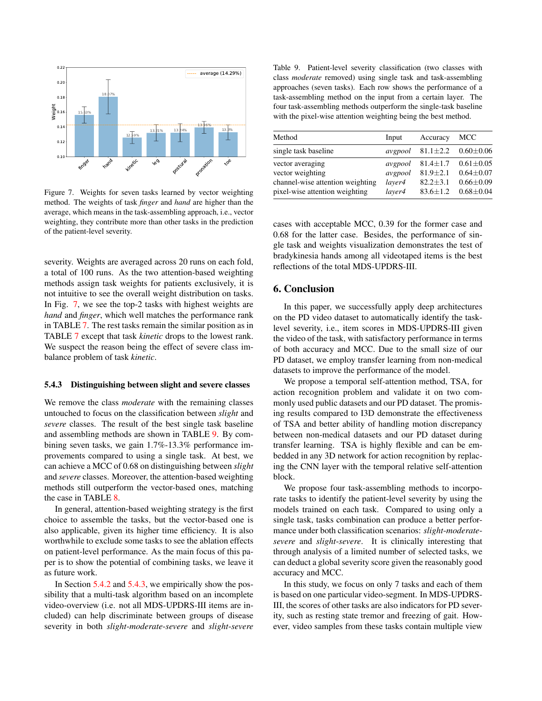<span id="page-12-0"></span>

Figure 7. Weights for seven tasks learned by vector weighting method. The weights of task *finger* and *hand* are higher than the average, which means in the task-assembling approach, i.e., vector weighting, they contribute more than other tasks in the prediction of the patient-level severity.

severity. Weights are averaged across 20 runs on each fold, a total of 100 runs. As the two attention-based weighting methods assign task weights for patients exclusively, it is not intuitive to see the overall weight distribution on tasks. In Fig. [7,](#page-12-0) we see the top-2 tasks with highest weights are *hand* and *finger*, which well matches the performance rank in TABLE [7.](#page-11-1) The rest tasks remain the similar position as in TABLE [7](#page-11-1) except that task *kinetic* drops to the lowest rank. We suspect the reason being the effect of severe class imbalance problem of task *kinetic*.

## <span id="page-12-2"></span>5.4.3 Distinguishing between slight and severe classes

We remove the class *moderate* with the remaining classes untouched to focus on the classification between *slight* and *severe* classes. The result of the best single task baseline and assembling methods are shown in TABLE [9.](#page-12-1) By combining seven tasks, we gain 1.7%-13.3% performance improvements compared to using a single task. At best, we can achieve a MCC of 0.68 on distinguishing between *slight* and *severe* classes. Moreover, the attention-based weighting methods still outperform the vector-based ones, matching the case in TABLE [8.](#page-11-2)

In general, attention-based weighting strategy is the first choice to assemble the tasks, but the vector-based one is also applicable, given its higher time efficiency. It is also worthwhile to exclude some tasks to see the ablation effects on patient-level performance. As the main focus of this paper is to show the potential of combining tasks, we leave it as future work.

In Section [5.4.2](#page-11-3) and [5.4.3,](#page-12-2) we empirically show the possibility that a multi-task algorithm based on an incomplete video-overview (i.e. not all MDS-UPDRS-III items are included) can help discriminate between groups of disease severity in both *slight*-*moderate*-*severe* and *slight*-*severe*

<span id="page-12-1"></span>Table 9. Patient-level severity classification (two classes with class *moderate* removed) using single task and task-assembling approaches (seven tasks). Each row shows the performance of a task-assembling method on the input from a certain layer. The four task-assembling methods outperform the single-task baseline with the pixel-wise attention weighting being the best method.

| Method                                                                                                     | Input                                  | Accuracy                                                         | MCC                                                                      |
|------------------------------------------------------------------------------------------------------------|----------------------------------------|------------------------------------------------------------------|--------------------------------------------------------------------------|
| single task baseline                                                                                       |                                        | avgpool $81.1 \pm 2.2$                                           | $0.60{\pm}0.06$                                                          |
| vector averaging<br>vector weighting<br>channel-wise attention weighting<br>pixel-wise attention weighting | avgpool<br>avgpool<br>laver4<br>laver4 | $81.4 \pm 1.7$<br>$81.9 \pm 2.1$<br>$82.2 + 3.1$<br>$83.6 + 1.2$ | $0.61 \pm 0.05$<br>$0.64 \pm 0.07$<br>$0.66 \pm 0.09$<br>$0.68 \pm 0.04$ |

cases with acceptable MCC, 0.39 for the former case and 0.68 for the latter case. Besides, the performance of single task and weights visualization demonstrates the test of bradykinesia hands among all videotaped items is the best reflections of the total MDS-UPDRS-III.

## 6. Conclusion

In this paper, we successfully apply deep architectures on the PD video dataset to automatically identify the tasklevel severity, i.e., item scores in MDS-UPDRS-III given the video of the task, with satisfactory performance in terms of both accuracy and MCC. Due to the small size of our PD dataset, we employ transfer learning from non-medical datasets to improve the performance of the model.

We propose a temporal self-attention method, TSA, for action recognition problem and validate it on two commonly used public datasets and our PD dataset. The promising results compared to I3D demonstrate the effectiveness of TSA and better ability of handling motion discrepancy between non-medical datasets and our PD dataset during transfer learning. TSA is highly flexible and can be embedded in any 3D network for action recognition by replacing the CNN layer with the temporal relative self-attention block.

We propose four task-assembling methods to incorporate tasks to identify the patient-level severity by using the models trained on each task. Compared to using only a single task, tasks combination can produce a better performance under both classification scenarios: *slight*-*moderatesevere* and *slight*-*severe*. It is clinically interesting that through analysis of a limited number of selected tasks, we can deduct a global severity score given the reasonably good accuracy and MCC.

In this study, we focus on only 7 tasks and each of them is based on one particular video-segment. In MDS-UPDRS-III, the scores of other tasks are also indicators for PD severity, such as resting state tremor and freezing of gait. However, video samples from these tasks contain multiple view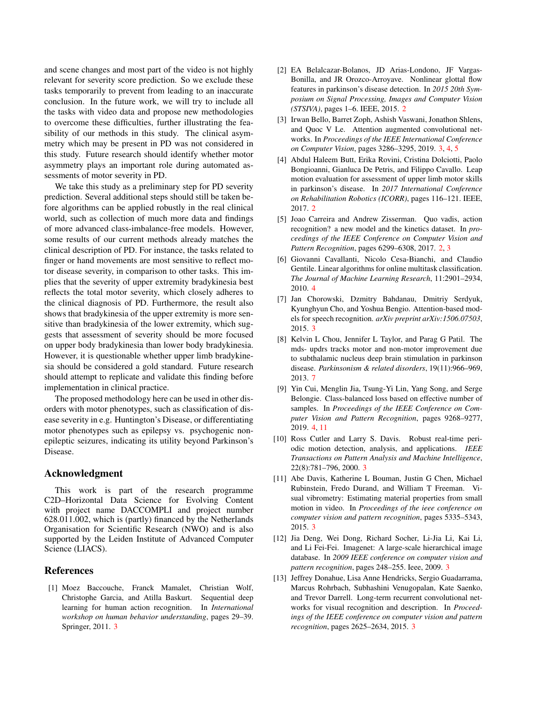and scene changes and most part of the video is not highly relevant for severity score prediction. So we exclude these tasks temporarily to prevent from leading to an inaccurate conclusion. In the future work, we will try to include all the tasks with video data and propose new methodologies to overcome these difficulties, further illustrating the feasibility of our methods in this study. The clinical asymmetry which may be present in PD was not considered in this study. Future research should identify whether motor asymmetry plays an important role during automated assessments of motor severity in PD.

We take this study as a preliminary step for PD severity prediction. Several additional steps should still be taken before algorithms can be applied robustly in the real clinical world, such as collection of much more data and findings of more advanced class-imbalance-free models. However, some results of our current methods already matches the clinical description of PD. For instance, the tasks related to finger or hand movements are most sensitive to reflect motor disease severity, in comparison to other tasks. This implies that the severity of upper extremity bradykinesia best reflects the total motor severity, which closely adheres to the clinical diagnosis of PD. Furthermore, the result also shows that bradykinesia of the upper extremity is more sensitive than bradykinesia of the lower extremity, which suggests that assessment of severity should be more focused on upper body bradykinesia than lower body bradykinesia. However, it is questionable whether upper limb bradykinesia should be considered a gold standard. Future research should attempt to replicate and validate this finding before implementation in clinical practice.

The proposed methodology here can be used in other disorders with motor phenotypes, such as classification of disease severity in e.g. Huntington's Disease, or differentiating motor phenotypes such as epilepsy vs. psychogenic nonepileptic seizures, indicating its utility beyond Parkinson's Disease.

## Acknowledgment

This work is part of the research programme C2D–Horizontal Data Science for Evolving Content with project name DACCOMPLI and project number 628.011.002, which is (partly) financed by the Netherlands Organisation for Scientific Research (NWO) and is also supported by the Leiden Institute of Advanced Computer Science (LIACS).

## References

<span id="page-13-4"></span>[1] Moez Baccouche, Franck Mamalet, Christian Wolf, Christophe Garcia, and Atilla Baskurt. Sequential deep learning for human action recognition. In *International workshop on human behavior understanding*, pages 29–39. Springer, 2011. [3](#page-2-0)

- <span id="page-13-2"></span>[2] EA Belalcazar-Bolanos, JD Arias-Londono, JF Vargas-Bonilla, and JR Orozco-Arroyave. Nonlinear glottal flow features in parkinson's disease detection. In *2015 20th Symposium on Signal Processing, Images and Computer Vision (STSIVA)*, pages 1–6. IEEE, 2015. [2](#page-1-1)
- <span id="page-13-9"></span>[3] Irwan Bello, Barret Zoph, Ashish Vaswani, Jonathon Shlens, and Quoc V Le. Attention augmented convolutional networks. In *Proceedings of the IEEE International Conference on Computer Vision*, pages 3286–3295, 2019. [3,](#page-2-0) [4,](#page-3-4) [5](#page-4-3)
- <span id="page-13-1"></span>[4] Abdul Haleem Butt, Erika Rovini, Cristina Dolciotti, Paolo Bongioanni, Gianluca De Petris, and Filippo Cavallo. Leap motion evaluation for assessment of upper limb motor skills in parkinson's disease. In *2017 International Conference on Rehabilitation Robotics (ICORR)*, pages 116–121. IEEE, 2017. [2](#page-1-1)
- <span id="page-13-0"></span>[5] Joao Carreira and Andrew Zisserman. Quo vadis, action recognition? a new model and the kinetics dataset. In *proceedings of the IEEE Conference on Computer Vision and Pattern Recognition*, pages 6299–6308, 2017. [2,](#page-1-1) [3](#page-2-0)
- <span id="page-13-10"></span>[6] Giovanni Cavallanti, Nicolo Cesa-Bianchi, and Claudio Gentile. Linear algorithms for online multitask classification. *The Journal of Machine Learning Research*, 11:2901–2934, 2010. [4](#page-3-4)
- <span id="page-13-8"></span>[7] Jan Chorowski, Dzmitry Bahdanau, Dmitriy Serdyuk, Kyunghyun Cho, and Yoshua Bengio. Attention-based models for speech recognition. *arXiv preprint arXiv:1506.07503*, 2015. [3](#page-2-0)
- <span id="page-13-12"></span>[8] Kelvin L Chou, Jennifer L Taylor, and Parag G Patil. The mds- updrs tracks motor and non-motor improvement due to subthalamic nucleus deep brain stimulation in parkinson disease. *Parkinsonism & related disorders*, 19(11):966–969, 2013. [7](#page-6-1)
- <span id="page-13-11"></span>[9] Yin Cui, Menglin Jia, Tsung-Yi Lin, Yang Song, and Serge Belongie. Class-balanced loss based on effective number of samples. In *Proceedings of the IEEE Conference on Computer Vision and Pattern Recognition*, pages 9268–9277, 2019. [4,](#page-3-4) [11](#page-10-2)
- <span id="page-13-6"></span>[10] Ross Cutler and Larry S. Davis. Robust real-time periodic motion detection, analysis, and applications. *IEEE Transactions on Pattern Analysis and Machine Intelligence*, 22(8):781–796, 2000. [3](#page-2-0)
- <span id="page-13-7"></span>[11] Abe Davis, Katherine L Bouman, Justin G Chen, Michael Rubinstein, Fredo Durand, and William T Freeman. Visual vibrometry: Estimating material properties from small motion in video. In *Proceedings of the ieee conference on computer vision and pattern recognition*, pages 5335–5343, 2015. [3](#page-2-0)
- <span id="page-13-3"></span>[12] Jia Deng, Wei Dong, Richard Socher, Li-Jia Li, Kai Li, and Li Fei-Fei. Imagenet: A large-scale hierarchical image database. In *2009 IEEE conference on computer vision and pattern recognition*, pages 248–255. Ieee, 2009. [3](#page-2-0)
- <span id="page-13-5"></span>[13] Jeffrey Donahue, Lisa Anne Hendricks, Sergio Guadarrama, Marcus Rohrbach, Subhashini Venugopalan, Kate Saenko, and Trevor Darrell. Long-term recurrent convolutional networks for visual recognition and description. In *Proceedings of the IEEE conference on computer vision and pattern recognition*, pages 2625–2634, 2015. [3](#page-2-0)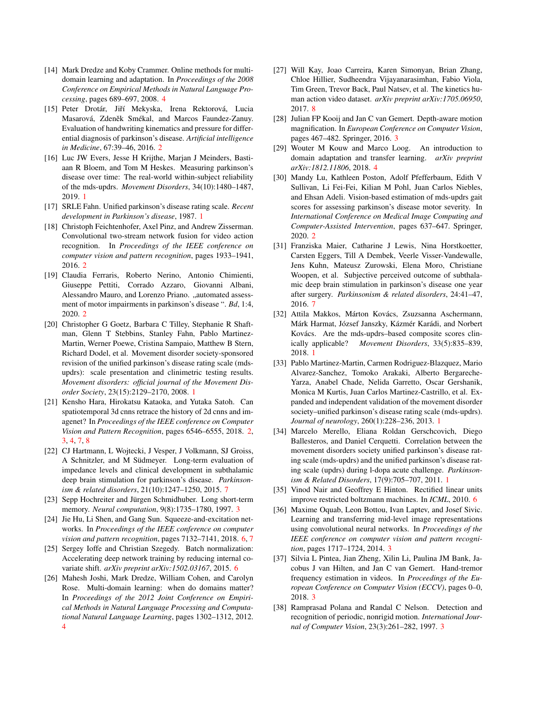- <span id="page-14-16"></span>[14] Mark Dredze and Koby Crammer. Online methods for multidomain learning and adaptation. In *Proceedings of the 2008 Conference on Empirical Methods in Natural Language Processing*, pages 689–697, 2008. [4](#page-3-4)
- <span id="page-14-8"></span>[15] Peter Drotár, Jiří Mekyska, Irena Rektorová, Lucia Masarová, Zdeněk Smékal, and Marcos Faundez-Zanuy. Evaluation of handwriting kinematics and pressure for differential diagnosis of parkinson's disease. *Artificial intelligence in Medicine*, 67:39–46, 2016. [2](#page-1-1)
- <span id="page-14-5"></span>[16] Luc JW Evers, Jesse H Krijthe, Marjan J Meinders, Bastiaan R Bloem, and Tom M Heskes. Measuring parkinson's disease over time: The real-world within-subject reliability of the mds-updrs. *Movement Disorders*, 34(10):1480–1487, 2019. [1](#page-0-0)
- <span id="page-14-2"></span>[17] SRLE Fahn. Unified parkinson's disease rating scale. *Recent development in Parkinson's disease*, 1987. [1](#page-0-0)
- <span id="page-14-6"></span>[18] Christoph Feichtenhofer, Axel Pinz, and Andrew Zisserman. Convolutional two-stream network fusion for video action recognition. In *Proceedings of the IEEE conference on computer vision and pattern recognition*, pages 1933–1941, 2016. [2](#page-1-1)
- <span id="page-14-9"></span>[19] Claudia Ferraris, Roberto Nerino, Antonio Chimienti, Giuseppe Pettiti, Corrado Azzaro, Giovanni Albani, Alessandro Mauro, and Lorenzo Priano. "automated assessment of motor impairments in parkinson's disease ". *Bd*, 1:4, 2020. [2](#page-1-1)
- <span id="page-14-0"></span>[20] Christopher G Goetz, Barbara C Tilley, Stephanie R Shaftman, Glenn T Stebbins, Stanley Fahn, Pablo Martinez-Martin, Werner Poewe, Cristina Sampaio, Matthew B Stern, Richard Dodel, et al. Movement disorder society-sponsored revision of the unified parkinson's disease rating scale (mdsupdrs): scale presentation and clinimetric testing results. *Movement disorders: official journal of the Movement Disorder Society*, 23(15):2129–2170, 2008. [1](#page-0-0)
- <span id="page-14-7"></span>[21] Kensho Hara, Hirokatsu Kataoka, and Yutaka Satoh. Can spatiotemporal 3d cnns retrace the history of 2d cnns and imagenet? In *Proceedings of the IEEE conference on Computer Vision and Pattern Recognition*, pages 6546–6555, 2018. [2,](#page-1-1) [3,](#page-2-0) [4,](#page-3-4) [7,](#page-6-1) [8](#page-7-5)
- <span id="page-14-22"></span>[22] CJ Hartmann, L Wojtecki, J Vesper, J Volkmann, SJ Groiss, A Schnitzler, and M Südmeyer. Long-term evaluation of impedance levels and clinical development in subthalamic deep brain stimulation for parkinson's disease. *Parkinsonism & related disorders*, 21(10):1247–1250, 2015. [7](#page-6-1)
- <span id="page-14-12"></span>[23] Sepp Hochreiter and Jürgen Schmidhuber. Long short-term memory. *Neural computation*, 9(8):1735–1780, 1997. [3](#page-2-0)
- <span id="page-14-19"></span>[24] Jie Hu, Li Shen, and Gang Sun. Squeeze-and-excitation networks. In *Proceedings of the IEEE conference on computer vision and pattern recognition*, pages 7132–7141, 2018. [6,](#page-5-1) [7](#page-6-1)
- <span id="page-14-21"></span>[25] Sergey Ioffe and Christian Szegedy. Batch normalization: Accelerating deep network training by reducing internal covariate shift. *arXiv preprint arXiv:1502.03167*, 2015. [6](#page-5-1)
- <span id="page-14-18"></span>[26] Mahesh Joshi, Mark Dredze, William Cohen, and Carolyn Rose. Multi-domain learning: when do domains matter? In *Proceedings of the 2012 Joint Conference on Empirical Methods in Natural Language Processing and Computational Natural Language Learning*, pages 1302–1312, 2012.  $\Delta$
- <span id="page-14-24"></span>[27] Will Kay, Joao Carreira, Karen Simonyan, Brian Zhang, Chloe Hillier, Sudheendra Vijayanarasimhan, Fabio Viola, Tim Green, Trevor Back, Paul Natsev, et al. The kinetics human action video dataset. *arXiv preprint arXiv:1705.06950*, 2017. [8](#page-7-5)
- <span id="page-14-15"></span>[28] Julian FP Kooij and Jan C van Gemert. Depth-aware motion magnification. In *European Conference on Computer Vision*, pages 467–482. Springer, 2016. [3](#page-2-0)
- <span id="page-14-17"></span>[29] Wouter M Kouw and Marco Loog. An introduction to domain adaptation and transfer learning. *arXiv preprint arXiv:1812.11806*, 2018. [4](#page-3-4)
- <span id="page-14-10"></span>[30] Mandy Lu, Kathleen Poston, Adolf Pfefferbaum, Edith V Sullivan, Li Fei-Fei, Kilian M Pohl, Juan Carlos Niebles, and Ehsan Adeli. Vision-based estimation of mds-updrs gait scores for assessing parkinson's disease motor severity. In *International Conference on Medical Image Computing and Computer-Assisted Intervention*, pages 637–647. Springer, 2020. [2](#page-1-1)
- <span id="page-14-23"></span>[31] Franziska Maier, Catharine J Lewis, Nina Horstkoetter, Carsten Eggers, Till A Dembek, Veerle Visser-Vandewalle, Jens Kuhn, Mateusz Zurowski, Elena Moro, Christiane Woopen, et al. Subjective perceived outcome of subthalamic deep brain stimulation in parkinson's disease one year after surgery. *Parkinsonism & related disorders*, 24:41–47, 2016. [7](#page-6-1)
- <span id="page-14-4"></span>[32] Attila Makkos, Márton Kovács, Zsuzsanna Aschermann, Márk Harmat, József Janszky, Kázmér Karádi, and Norbert Kovács. Are the mds-updrs–based composite scores clinically applicable? *Movement Disorders*, 33(5):835–839, 2018. [1](#page-0-0)
- <span id="page-14-1"></span>[33] Pablo Martinez-Martin, Carmen Rodriguez-Blazquez, Mario Alvarez-Sanchez, Tomoko Arakaki, Alberto Bergareche-Yarza, Anabel Chade, Nelida Garretto, Oscar Gershanik, Monica M Kurtis, Juan Carlos Martinez-Castrillo, et al. Expanded and independent validation of the movement disorder society–unified parkinson's disease rating scale (mds-updrs). *Journal of neurology*, 260(1):228–236, 2013. [1](#page-0-0)
- <span id="page-14-3"></span>[34] Marcelo Merello, Eliana Roldan Gerschcovich, Diego Ballesteros, and Daniel Cerquetti. Correlation between the movement disorders society unified parkinson's disease rating scale (mds-updrs) and the unified parkinson's disease rating scale (updrs) during l-dopa acute challenge. *Parkinsonism & Related Disorders*, 17(9):705–707, 2011. [1](#page-0-0)
- <span id="page-14-20"></span>[35] Vinod Nair and Geoffrey E Hinton. Rectified linear units improve restricted boltzmann machines. In *ICML*, 2010. [6](#page-5-1)
- <span id="page-14-11"></span>[36] Maxime Oquab, Leon Bottou, Ivan Laptev, and Josef Sivic. Learning and transferring mid-level image representations using convolutional neural networks. In *Proceedings of the IEEE conference on computer vision and pattern recognition*, pages 1717–1724, 2014. [3](#page-2-0)
- <span id="page-14-14"></span>[37] Silvia L Pintea, Jian Zheng, Xilin Li, Paulina JM Bank, Jacobus J van Hilten, and Jan C van Gemert. Hand-tremor frequency estimation in videos. In *Proceedings of the European Conference on Computer Vision (ECCV)*, pages 0–0, 2018. [3](#page-2-0)
- <span id="page-14-13"></span>[38] Ramprasad Polana and Randal C Nelson. Detection and recognition of periodic, nonrigid motion. *International Journal of Computer Vision*, 23(3):261–282, 1997. [3](#page-2-0)